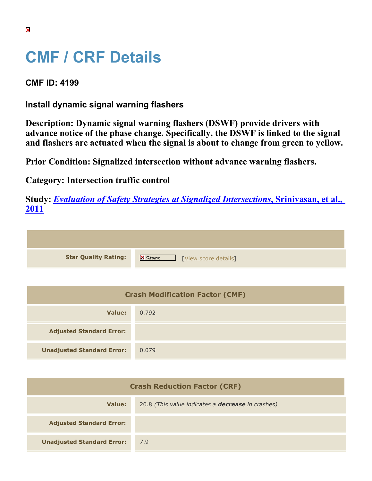## **CMF / CRF Details**

**CMF ID: 4199**

**Install dynamic signal warning flashers**

**Description: Dynamic signal warning flashers (DSWF) provide drivers with advance notice of the phase change. Specifically, the DSWF is linked to the signal and flashers are actuated when the signal is about to change from green to yellow.**

**Prior Condition: Signalized intersection without advance warning flashers.**

**Category: Intersection traffic control**

**Study:** *[Evaluation of Safety Strategies at Signalized Intersections](https://cmfclearinghouse.org/study_detail.cfm?stid=290)***[, Srinivasan, et al.,](https://cmfclearinghouse.org/study_detail.cfm?stid=290) [2011](https://cmfclearinghouse.org/study_detail.cfm?stid=290)**

**Star Quality Rating:** X Wew score details]

| <b>Crash Modification Factor (CMF)</b> |       |  |
|----------------------------------------|-------|--|
| Value:                                 | 0.792 |  |
| <b>Adjusted Standard Error:</b>        |       |  |
| <b>Unadjusted Standard Error:</b>      | 0.079 |  |

| <b>Crash Reduction Factor (CRF)</b> |                                                          |  |
|-------------------------------------|----------------------------------------------------------|--|
| Value:                              | 20.8 (This value indicates a <b>decrease</b> in crashes) |  |
| <b>Adjusted Standard Error:</b>     |                                                          |  |
| <b>Unadjusted Standard Error:</b>   | 7.9                                                      |  |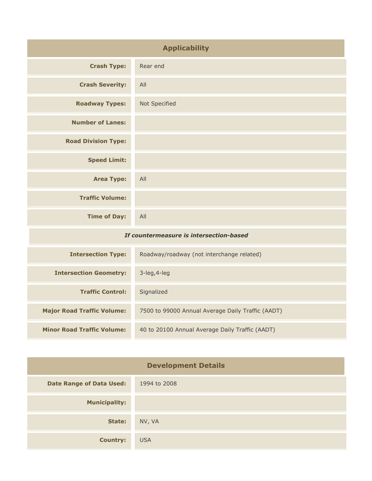| <b>Applicability</b>                    |                                           |
|-----------------------------------------|-------------------------------------------|
| <b>Crash Type:</b>                      | Rear end                                  |
| <b>Crash Severity:</b>                  | All                                       |
| <b>Roadway Types:</b>                   | Not Specified                             |
| <b>Number of Lanes:</b>                 |                                           |
| <b>Road Division Type:</b>              |                                           |
| <b>Speed Limit:</b>                     |                                           |
| <b>Area Type:</b>                       | All                                       |
| <b>Traffic Volume:</b>                  |                                           |
| <b>Time of Day:</b>                     | All                                       |
| If countermeasure is intersection-based |                                           |
| <b>Intersection Type:</b>               | Roadway/roadway (not interchange related) |

| <b>Intersection Type:</b>         | Roadway/roadway (not interchange related)         |
|-----------------------------------|---------------------------------------------------|
| <b>Intersection Geometry:</b>     | $3$ -leg, $4$ -leg                                |
| <b>Traffic Control:</b>           | Signalized                                        |
| <b>Major Road Traffic Volume:</b> | 7500 to 99000 Annual Average Daily Traffic (AADT) |
| <b>Minor Road Traffic Volume:</b> | 40 to 20100 Annual Average Daily Traffic (AADT)   |

| <b>Development Details</b>      |              |
|---------------------------------|--------------|
| <b>Date Range of Data Used:</b> | 1994 to 2008 |
| <b>Municipality:</b>            |              |
| State:                          | NV, VA       |
| <b>Country:</b>                 | <b>USA</b>   |